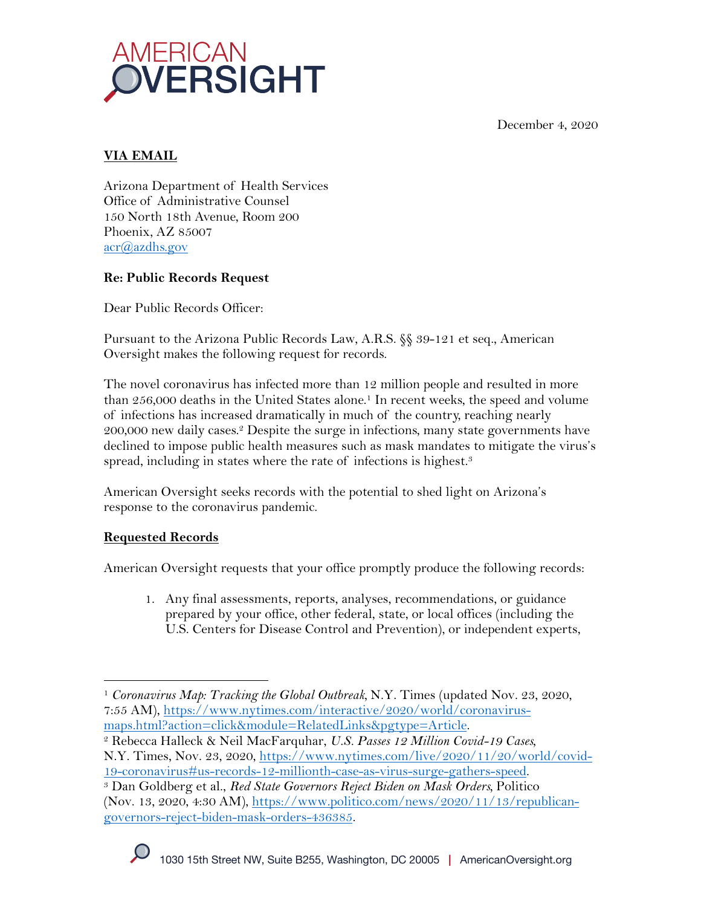December 4, 2020



# **VIA EMAIL**

Arizona Department of Health Services Office of Administrative Counsel 150 North 18th Avenue, Room 200 Phoenix, AZ 85007 acr@azdhs.gov

## **Re: Public Records Request**

Dear Public Records Officer:

Pursuant to the Arizona Public Records Law, A.R.S. §§ 39-121 et seq., American Oversight makes the following request for records.

The novel coronavirus has infected more than 12 million people and resulted in more than 256,000 deaths in the United States alone. <sup>1</sup> In recent weeks, the speed and volume of infections has increased dramatically in much of the country, reaching nearly 200,000 new daily cases.2 Despite the surge in infections, many state governments have declined to impose public health measures such as mask mandates to mitigate the virus's spread, including in states where the rate of infections is highest.<sup>3</sup>

American Oversight seeks records with the potential to shed light on Arizona's response to the coronavirus pandemic.

## **Requested Records**

American Oversight requests that your office promptly produce the following records:

1. Any final assessments, reports, analyses, recommendations, or guidance prepared by your office, other federal, state, or local offices (including the U.S. Centers for Disease Control and Prevention), or independent experts,

<sup>1</sup> *Coronavirus Map: Tracking the Global Outbreak,* N.Y. Times (updated Nov. 23, 2020, 7:55 AM), https://www.nytimes.com/interactive/2020/world/coronavirus-

maps.html?action=click&module=RelatedLinks&pgtype=Article. 2 Rebecca Halleck & Neil MacFarquhar, *U.S. Passes 12 Million Covid-19 Cases,*  N.Y. Times, Nov. 23, 2020, https://www.nytimes.com/live/2020/11/20/world/covid-

<sup>19-</sup>coronavirus#us-records-12-millionth-case-as-virus-surge-gathers-speed. 3 Dan Goldberg et al., *Red State Governors Reject Biden on Mask Orders,* Politico (Nov. 13, 2020, 4:30 AM), https://www.politico.com/news/2020/11/13/republicangovernors-reject-biden-mask-orders-436385.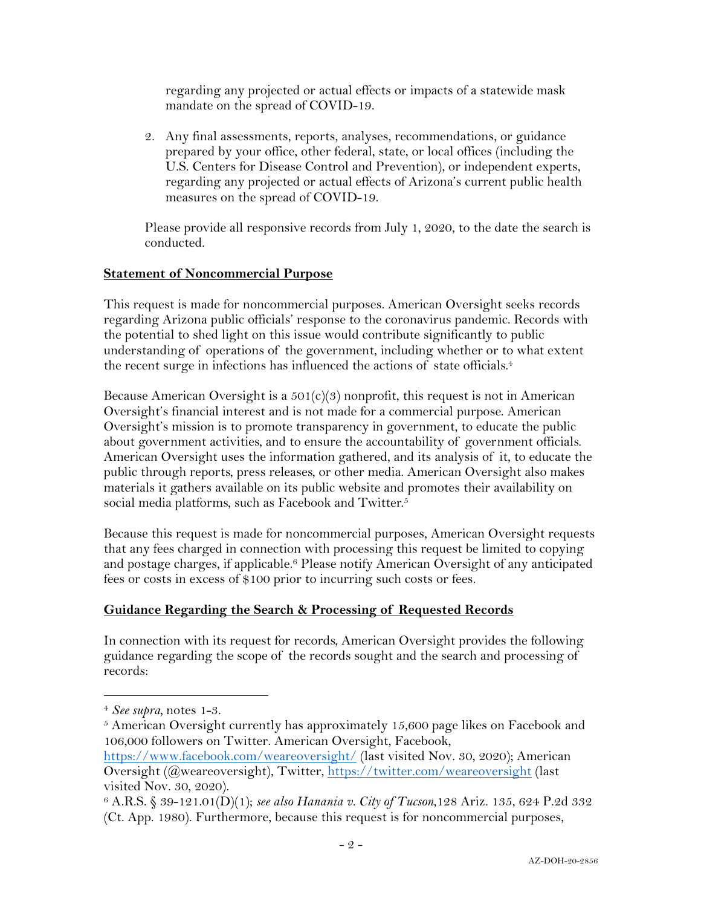regarding any projected or actual effects or impacts of a statewide mask mandate on the spread of COVID-19.

2. Any final assessments, reports, analyses, recommendations, or guidance prepared by your office, other federal, state, or local offices (including the U.S. Centers for Disease Control and Prevention), or independent experts, regarding any projected or actual effects of Arizona's current public health measures on the spread of COVID-19.

Please provide all responsive records from July 1, 2020, to the date the search is conducted.

#### **Statement of Noncommercial Purpose**

This request is made for noncommercial purposes. American Oversight seeks records regarding Arizona public officials' response to the coronavirus pandemic. Records with the potential to shed light on this issue would contribute significantly to public understanding of operations of the government, including whether or to what extent the recent surge in infections has influenced the actions of state officials.<sup>4</sup>

Because American Oversight is a  $501(c)(3)$  nonprofit, this request is not in American Oversight's financial interest and is not made for a commercial purpose. American Oversight's mission is to promote transparency in government, to educate the public about government activities, and to ensure the accountability of government officials. American Oversight uses the information gathered, and its analysis of it, to educate the public through reports, press releases, or other media. American Oversight also makes materials it gathers available on its public website and promotes their availability on social media platforms, such as Facebook and Twitter.<sup>5</sup>

Because this request is made for noncommercial purposes, American Oversight requests that any fees charged in connection with processing this request be limited to copying and postage charges, if applicable.<sup>6</sup> Please notify American Oversight of any anticipated fees or costs in excess of \$100 prior to incurring such costs or fees.

### **Guidance Regarding the Search & Processing of Requested Records**

In connection with its request for records, American Oversight provides the following guidance regarding the scope of the records sought and the search and processing of records:

<sup>4</sup> *See supra,* notes 1-3.

 $5$  American Oversight currently has approximately 15,600 page likes on Facebook and 106,000 followers on Twitter. American Oversight, Facebook,

https://www.facebook.com/weareoversight/ (last visited Nov. 30, 2020); American Oversight (@weareoversight), Twitter, https://twitter.com/weareoversight (last visited Nov. 30, 2020).

<sup>6</sup> A.R.S. § 39-121.01(D)(1); *see also Hanania v. City of Tucson*,128 Ariz. 135, 624 P.2d 332 (Ct. App. 1980). Furthermore, because this request is for noncommercial purposes,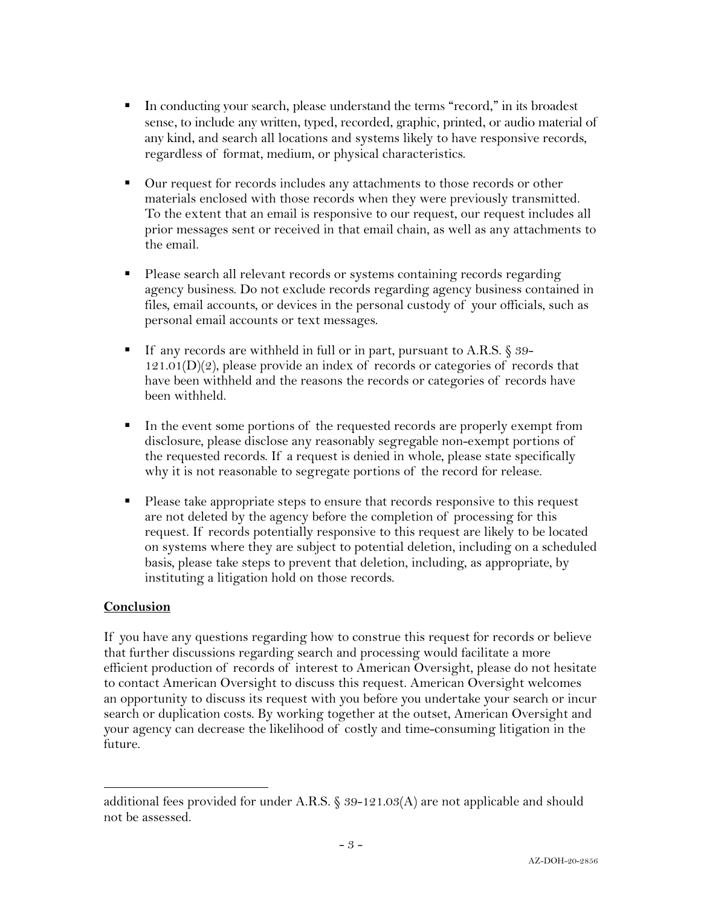- In conducting your search, please understand the terms "record," in its broadest sense, to include any written, typed, recorded, graphic, printed, or audio material of any kind, and search all locations and systems likely to have responsive records, regardless of format, medium, or physical characteristics.
- Our request for records includes any attachments to those records or other materials enclosed with those records when they were previously transmitted. To the extent that an email is responsive to our request, our request includes all prior messages sent or received in that email chain, as well as any attachments to the email.
- § Please search all relevant records or systems containing records regarding agency business. Do not exclude records regarding agency business contained in files, email accounts, or devices in the personal custody of your officials, such as personal email accounts or text messages.
- If any records are withheld in full or in part, pursuant to A.R.S. § 39- $121.01(D)(2)$ , please provide an index of records or categories of records that have been withheld and the reasons the records or categories of records have been withheld.
- In the event some portions of the requested records are properly exempt from disclosure, please disclose any reasonably segregable non-exempt portions of the requested records. If a request is denied in whole, please state specifically why it is not reasonable to segregate portions of the record for release.
- Please take appropriate steps to ensure that records responsive to this request are not deleted by the agency before the completion of processing for this request. If records potentially responsive to this request are likely to be located on systems where they are subject to potential deletion, including on a scheduled basis, please take steps to prevent that deletion, including, as appropriate, by instituting a litigation hold on those records.

### **Conclusion**

If you have any questions regarding how to construe this request for records or believe that further discussions regarding search and processing would facilitate a more efficient production of records of interest to American Oversight, please do not hesitate to contact American Oversight to discuss this request. American Oversight welcomes an opportunity to discuss its request with you before you undertake your search or incur search or duplication costs. By working together at the outset, American Oversight and your agency can decrease the likelihood of costly and time-consuming litigation in the future.

additional fees provided for under A.R.S. § 39-121.03(A) are not applicable and should not be assessed.